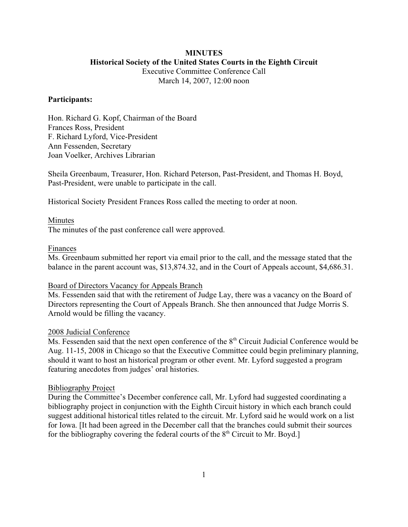## **MINUTES Historical Society of the United States Courts in the Eighth Circuit**

Executive Committee Conference Call

March 14, 2007, 12:00 noon

### **Participants:**

Hon. Richard G. Kopf, Chairman of the Board Frances Ross, President F. Richard Lyford, Vice-President Ann Fessenden, Secretary Joan Voelker, Archives Librarian

Sheila Greenbaum, Treasurer, Hon. Richard Peterson, Past-President, and Thomas H. Boyd, Past-President, were unable to participate in the call.

Historical Society President Frances Ross called the meeting to order at noon.

#### Minutes

The minutes of the past conference call were approved.

### Finances

Ms. Greenbaum submitted her report via email prior to the call, and the message stated that the balance in the parent account was, \$13,874.32, and in the Court of Appeals account, \$4,686.31.

### Board of Directors Vacancy for Appeals Branch

Ms. Fessenden said that with the retirement of Judge Lay, there was a vacancy on the Board of Directors representing the Court of Appeals Branch. She then announced that Judge Morris S. Arnold would be filling the vacancy.

#### 2008 Judicial Conference

Ms. Fessenden said that the next open conference of the  $8<sup>th</sup>$  Circuit Judicial Conference would be Aug. 11-15, 2008 in Chicago so that the Executive Committee could begin preliminary planning, should it want to host an historical program or other event. Mr. Lyford suggested a program featuring anecdotes from judges' oral histories.

#### Bibliography Project

During the Committee's December conference call, Mr. Lyford had suggested coordinating a bibliography project in conjunction with the Eighth Circuit history in which each branch could suggest additional historical titles related to the circuit. Mr. Lyford said he would work on a list for Iowa. [It had been agreed in the December call that the branches could submit their sources for the bibliography covering the federal courts of the  $8<sup>th</sup>$  Circuit to Mr. Boyd.]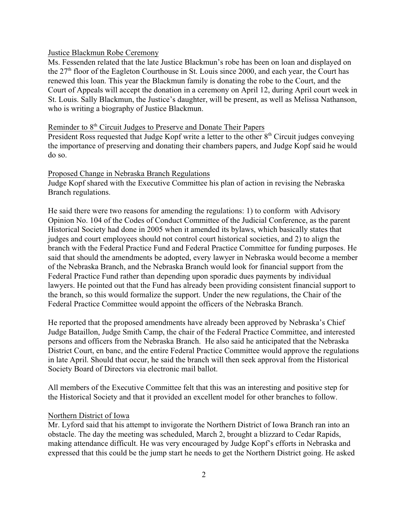## Justice Blackmun Robe Ceremony

Ms. Fessenden related that the late Justice Blackmun's robe has been on loan and displayed on the  $27<sup>th</sup>$  floor of the Eagleton Courthouse in St. Louis since 2000, and each year, the Court has renewed this loan. This year the Blackmun family is donating the robe to the Court, and the Court of Appeals will accept the donation in a ceremony on April 12, during April court week in St. Louis. Sally Blackmun, the Justice's daughter, will be present, as well as Melissa Nathanson, who is writing a biography of Justice Blackmun.

# Reminder to 8<sup>th</sup> Circuit Judges to Preserve and Donate Their Papers

President Ross requested that Judge Kopf write a letter to the other  $8<sup>th</sup>$  Circuit judges conveying the importance of preserving and donating their chambers papers, and Judge Kopf said he would do so.

### Proposed Change in Nebraska Branch Regulations

Judge Kopf shared with the Executive Committee his plan of action in revising the Nebraska Branch regulations.

He said there were two reasons for amending the regulations: 1) to conform with Advisory Opinion No. 104 of the Codes of Conduct Committee of the Judicial Conference, as the parent Historical Society had done in 2005 when it amended its bylaws, which basically states that judges and court employees should not control court historical societies, and 2) to align the branch with the Federal Practice Fund and Federal Practice Committee for funding purposes. He said that should the amendments be adopted, every lawyer in Nebraska would become a member of the Nebraska Branch, and the Nebraska Branch would look for financial support from the Federal Practice Fund rather than depending upon sporadic dues payments by individual lawyers. He pointed out that the Fund has already been providing consistent financial support to the branch, so this would formalize the support. Under the new regulations, the Chair of the Federal Practice Committee would appoint the officers of the Nebraska Branch.

He reported that the proposed amendments have already been approved by Nebraska's Chief Judge Bataillon, Judge Smith Camp, the chair of the Federal Practice Committee, and interested persons and officers from the Nebraska Branch. He also said he anticipated that the Nebraska District Court, en banc, and the entire Federal Practice Committee would approve the regulations in late April. Should that occur, he said the branch will then seek approval from the Historical Society Board of Directors via electronic mail ballot.

All members of the Executive Committee felt that this was an interesting and positive step for the Historical Society and that it provided an excellent model for other branches to follow.

### Northern District of Iowa

Mr. Lyford said that his attempt to invigorate the Northern District of Iowa Branch ran into an obstacle. The day the meeting was scheduled, March 2, brought a blizzard to Cedar Rapids, making attendance difficult. He was very encouraged by Judge Kopf's efforts in Nebraska and expressed that this could be the jump start he needs to get the Northern District going. He asked